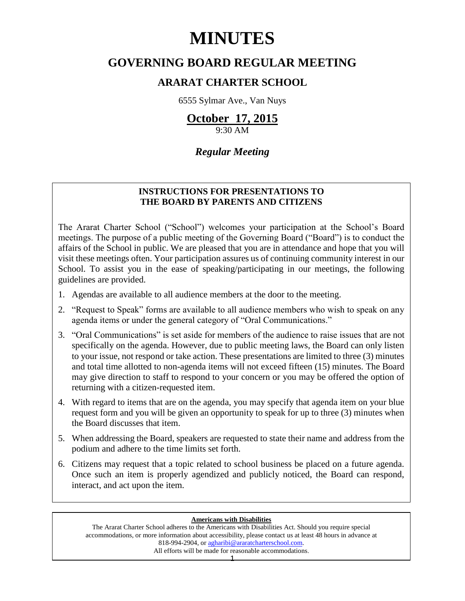# **MINUTES**

## **GOVERNING BOARD REGULAR MEETING**

### **ARARAT CHARTER SCHOOL**

6555 Sylmar Ave., Van Nuys

# **October 17, 2015**

9:30 AM

### *Regular Meeting*

### **INSTRUCTIONS FOR PRESENTATIONS TO THE BOARD BY PARENTS AND CITIZENS**

The Ararat Charter School ("School") welcomes your participation at the School's Board meetings. The purpose of a public meeting of the Governing Board ("Board") is to conduct the affairs of the School in public. We are pleased that you are in attendance and hope that you will visit these meetings often. Your participation assures us of continuing community interest in our School. To assist you in the ease of speaking/participating in our meetings, the following guidelines are provided.

- 1. Agendas are available to all audience members at the door to the meeting.
- 2. "Request to Speak" forms are available to all audience members who wish to speak on any agenda items or under the general category of "Oral Communications."
- 3. "Oral Communications" is set aside for members of the audience to raise issues that are not specifically on the agenda. However, due to public meeting laws, the Board can only listen to your issue, not respond or take action. These presentations are limited to three (3) minutes and total time allotted to non-agenda items will not exceed fifteen (15) minutes. The Board may give direction to staff to respond to your concern or you may be offered the option of returning with a citizen-requested item.
- 4. With regard to items that are on the agenda, you may specify that agenda item on your blue request form and you will be given an opportunity to speak for up to three (3) minutes when the Board discusses that item.
- 5. When addressing the Board, speakers are requested to state their name and address from the podium and adhere to the time limits set forth.
- 6. Citizens may request that a topic related to school business be placed on a future agenda. Once such an item is properly agendized and publicly noticed, the Board can respond, interact, and act upon the item.

#### **Americans with Disabilities**

The Ararat Charter School adheres to the Americans with Disabilities Act. Should you require special accommodations, or more information about accessibility, please contact us at least 48 hours in advance at 818-994-2904, or [agharibi@araratcharterschool.com.](mailto:agharibi@araratcharterschool.com)  All efforts will be made for reasonable accommodations.

1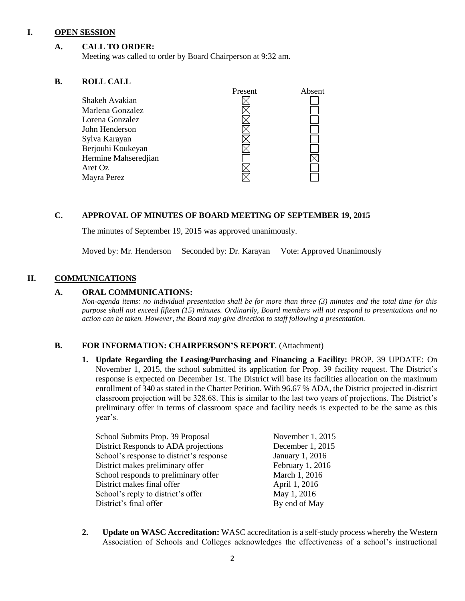#### **I. OPEN SESSION**

#### **A. CALL TO ORDER:**

Meeting was called to order by Board Chairperson at 9:32 am.

#### **B. ROLL CALL**

| Present | Absent |
|---------|--------|
|         |        |
|         |        |
|         |        |
|         |        |
|         |        |
|         |        |
|         |        |
|         |        |
|         |        |
|         |        |

#### **C. APPROVAL OF MINUTES OF BOARD MEETING OF SEPTEMBER 19, 2015**

The minutes of September 19, 2015 was approved unanimously.

Moved by: Mr. Henderson Seconded by: Dr. Karayan Vote: Approved Unanimously

#### **II. COMMUNICATIONS**

#### **A. ORAL COMMUNICATIONS:**

*Non-agenda items: no individual presentation shall be for more than three (3) minutes and the total time for this purpose shall not exceed fifteen (15) minutes. Ordinarily, Board members will not respond to presentations and no action can be taken. However, the Board may give direction to staff following a presentation.*

#### **B. FOR INFORMATION: CHAIRPERSON'S REPORT**. (Attachment)

**1. Update Regarding the Leasing/Purchasing and Financing a Facility:** PROP. 39 UPDATE: On November 1, 2015, the school submitted its application for Prop. 39 facility request. The District's response is expected on December 1st. The District will base its facilities allocation on the maximum enrollment of 340 as stated in the Charter Petition. With 96.67 % ADA, the District projected in-district classroom projection will be 328.68. This is similar to the last two years of projections. The District's preliminary offer in terms of classroom space and facility needs is expected to be the same as this year's.

| School Submits Prop. 39 Proposal         | November 1, 2015 |
|------------------------------------------|------------------|
| District Responds to ADA projections     | December 1, 2015 |
| School's response to district's response | January 1, 2016  |
| District makes preliminary offer         | February 1, 2016 |
| School responds to preliminary offer     | March 1, 2016    |
| District makes final offer               | April 1, 2016    |
| School's reply to district's offer       | May 1, 2016      |
| District's final offer                   | By end of May    |

**2. Update on WASC Accreditation:** WASC accreditation is a self-study process whereby the Western Association of Schools and Colleges acknowledges the effectiveness of a school's instructional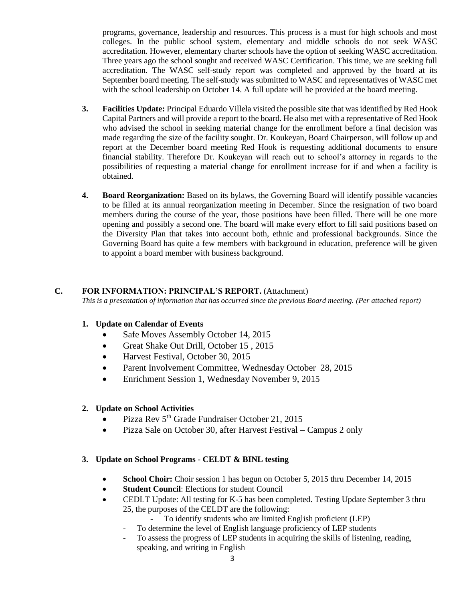programs, governance, leadership and resources. This process is a must for high schools and most colleges. In the public school system, elementary and middle schools do not seek WASC accreditation. However, elementary charter schools have the option of seeking WASC accreditation. Three years ago the school sought and received WASC Certification. This time, we are seeking full accreditation. The WASC self-study report was completed and approved by the board at its September board meeting. The self-study was submitted to WASC and representatives of WASC met with the school leadership on October 14. A full update will be provided at the board meeting.

- **3. Facilities Update:** Principal Eduardo Villela visited the possible site that was identified by Red Hook Capital Partners and will provide a report to the board. He also met with a representative of Red Hook who advised the school in seeking material change for the enrollment before a final decision was made regarding the size of the facility sought. Dr. Koukeyan, Board Chairperson, will follow up and report at the December board meeting Red Hook is requesting additional documents to ensure financial stability. Therefore Dr. Koukeyan will reach out to school's attorney in regards to the possibilities of requesting a material change for enrollment increase for if and when a facility is obtained.
- **4. Board Reorganization:** Based on its bylaws, the Governing Board will identify possible vacancies to be filled at its annual reorganization meeting in December. Since the resignation of two board members during the course of the year, those positions have been filled. There will be one more opening and possibly a second one. The board will make every effort to fill said positions based on the Diversity Plan that takes into account both, ethnic and professional backgrounds. Since the Governing Board has quite a few members with background in education, preference will be given to appoint a board member with business background.

#### **C. FOR INFORMATION: PRINCIPAL'S REPORT.** (Attachment)

*This is a presentation of information that has occurred since the previous Board meeting. (Per attached report)*

#### **1. Update on Calendar of Events**

- Safe Moves Assembly October 14, 2015
- Great Shake Out Drill, October 15, 2015
- Harvest Festival, October 30, 2015
- Parent Involvement Committee, Wednesday October 28, 2015
- Enrichment Session 1, Wednesday November 9, 2015

#### **2. Update on School Activities**

- Pizza Rev  $5<sup>th</sup>$  Grade Fundraiser October 21, 2015
- Pizza Sale on October 30, after Harvest Festival Campus 2 only

#### **3. Update on School Programs - CELDT & BINL testing**

- **School Choir:** Choir session 1 has begun on October 5, 2015 thru December 14, 2015
- **Student Council**: Elections for student Council
- CEDLT Update: All testing for K-5 has been completed. Testing Update September 3 thru 25, the purposes of the CELDT are the following:
	- To identify students who are limited English proficient (LEP)
	- To determine the level of English language proficiency of LEP students
	- To assess the progress of LEP students in acquiring the skills of listening, reading, speaking, and writing in English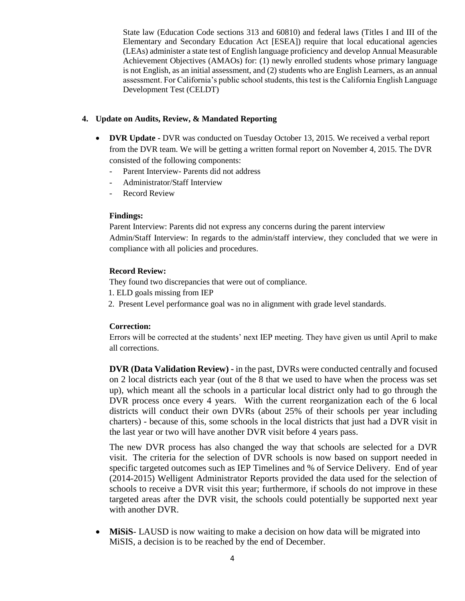State law (Education Code sections 313 and 60810) and federal laws (Titles I and III of the Elementary and Secondary Education Act [ESEA]) require that local educational agencies (LEAs) administer a state test of English language proficiency and develop Annual Measurable Achievement Objectives (AMAOs) for: (1) newly enrolled students whose primary language is not English, as an initial assessment, and (2) students who are English Learners, as an annual assessment. For California's public school students, this test is the California English Language Development Test (CELDT)

#### **4. Update on Audits, Review, & Mandated Reporting**

- **DVR Update -** DVR was conducted on Tuesday October 13, 2015. We received a verbal report from the DVR team. We will be getting a written formal report on November 4, 2015. The DVR consisted of the following components:
	- Parent Interview- Parents did not address
	- Administrator/Staff Interview
	- Record Review

#### **Findings:**

Parent Interview: Parents did not express any concerns during the parent interview Admin/Staff Interview: In regards to the admin/staff interview, they concluded that we were in compliance with all policies and procedures.

#### **Record Review:**

They found two discrepancies that were out of compliance.

- 1. ELD goals missing from IEP
- 2. Present Level performance goal was no in alignment with grade level standards.

#### **Correction:**

Errors will be corrected at the students' next IEP meeting. They have given us until April to make all corrections.

**DVR (Data Validation Review) -** in the past, DVRs were conducted centrally and focused on 2 local districts each year (out of the 8 that we used to have when the process was set up), which meant all the schools in a particular local district only had to go through the DVR process once every 4 years. With the current reorganization each of the 6 local districts will conduct their own DVRs (about 25% of their schools per year including charters) - because of this, some schools in the local districts that just had a DVR visit in the last year or two will have another DVR visit before 4 years pass.

The new DVR process has also changed the way that schools are selected for a DVR visit. The criteria for the selection of DVR schools is now based on support needed in specific targeted outcomes such as IEP Timelines and % of Service Delivery. End of year (2014-2015) Welligent Administrator Reports provided the data used for the selection of schools to receive a DVR visit this year; furthermore, if schools do not improve in these targeted areas after the DVR visit, the schools could potentially be supported next year with another DVR.

 **MiSiS**- LAUSD is now waiting to make a decision on how data will be migrated into MiSIS, a decision is to be reached by the end of December.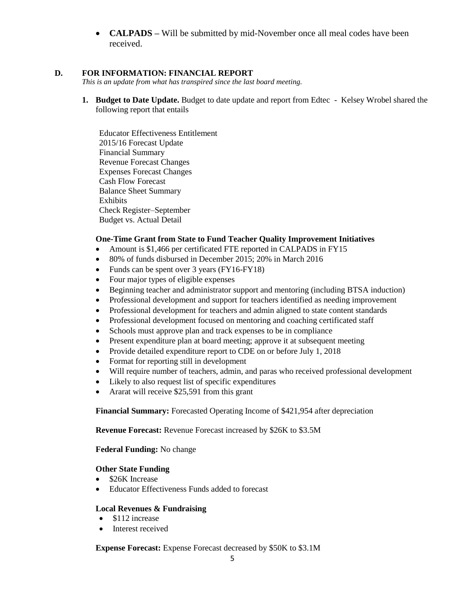**CALPADS –** Will be submitted by mid-November once all meal codes have been received.

#### **D. FOR INFORMATION: FINANCIAL REPORT**

*This is an update from what has transpired since the last board meeting.*

**1. Budget to Date Update.** Budget to date update and report from Edtec - Kelsey Wrobel shared the following report that entails

Educator Effectiveness Entitlement 2015/16 Forecast Update Financial Summary Revenue Forecast Changes Expenses Forecast Changes Cash Flow Forecast Balance Sheet Summary Exhibits Check Register–September Budget vs. Actual Detail

#### **One-Time Grant from State to Fund Teacher Quality Improvement Initiatives**

- Amount is \$1,466 per certificated FTE reported in CALPADS in FY15
- 80% of funds disbursed in December 2015; 20% in March 2016
- Funds can be spent over 3 years (FY16-FY18)
- Four major types of eligible expenses
- Beginning teacher and administrator support and mentoring (including BTSA induction)
- Professional development and support for teachers identified as needing improvement
- Professional development for teachers and admin aligned to state content standards
- Professional development focused on mentoring and coaching certificated staff
- Schools must approve plan and track expenses to be in compliance
- Present expenditure plan at board meeting; approve it at subsequent meeting
- Provide detailed expenditure report to CDE on or before July 1, 2018
- Format for reporting still in development
- Will require number of teachers, admin, and paras who received professional development
- Likely to also request list of specific expenditures
- Ararat will receive \$25,591 from this grant

**Financial Summary:** Forecasted Operating Income of \$421,954 after depreciation

**Revenue Forecast:** Revenue Forecast increased by \$26K to \$3.5M

**Federal Funding:** No change

#### **Other State Funding**

- \$26K Increase
- Educator Effectiveness Funds added to forecast

#### **Local Revenues & Fundraising**

- \$112 increase
- Interest received

**Expense Forecast:** Expense Forecast decreased by \$50K to \$3.1M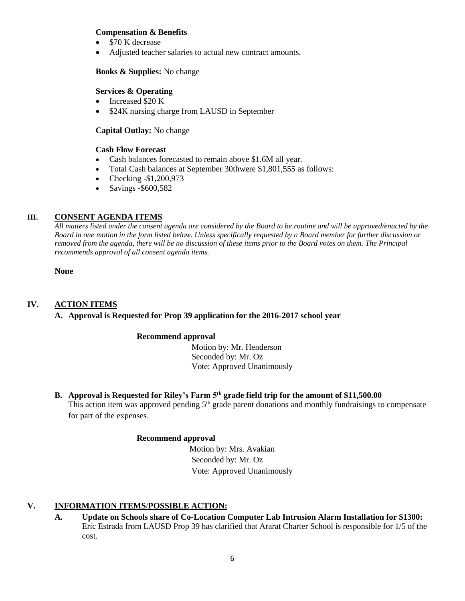#### **Compensation & Benefits**

- \$70 K decrease
- Adjusted teacher salaries to actual new contract amounts.

#### **Books & Supplies:** No change

#### **Services & Operating**

- Increased \$20 K
- \$24K nursing charge from LAUSD in September

#### **Capital Outlay:** No change

#### **Cash Flow Forecast**

- Cash balances forecasted to remain above \$1.6M all year.
- Total Cash balances at September 30thwere \$1,801,555 as follows:
- Checking -\$1,200,973
- Savings -\$600,582

#### **III. CONSENT AGENDA ITEMS**

*All matters listed under the consent agenda are considered by the Board to be routine and will be approved/enacted by the Board in one motion in the form listed below. Unless specifically requested by a Board member for further discussion or removed from the agenda, there will be no discussion of these items prior to the Board votes on them. The Principal recommends approval of all consent agenda items.*

**None**

#### **IV. ACTION ITEMS**

#### **A. Approval is Requested for Prop 39 application for the 2016-2017 school year**

#### **Recommend approval**

 Motion by: Mr. Henderson Seconded by: Mr. Oz Vote: Approved Unanimously

# **B. Approval is Requested for Riley's Farm 5th grade field trip for the amount of \$11,500.00**

This action item was approved pending 5<sup>th</sup> grade parent donations and monthly fundraisings to compensate for part of the expenses.

#### **Recommend approval**

 Motion by: Mrs. Avakian Seconded by: Mr. Oz Vote: Approved Unanimously

#### **V. INFORMATION ITEMS**/**POSSIBLE ACTION:**

**A. Update on Schools share of Co-Location Computer Lab Intrusion Alarm Installation for \$1300:**  Eric Estrada from LAUSD Prop 39 has clarified that Ararat Charter School is responsible for 1/5 of the cost.